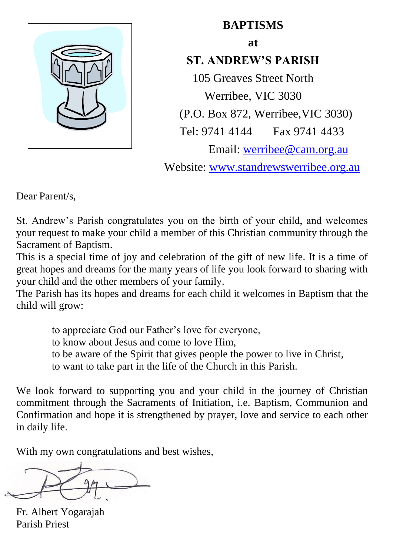

## **BAPTISMS**

**at**

# **ST. ANDREW'S PARISH**

105 Greaves Street North Werribee, VIC 3030 (P.O. Box 872, Werribee,VIC 3030) Tel: 9741 4144 Fax 9741 4433 Email: werribe[e@cam.org.au](mailto:staparish@optusnet.com.au) Website: [www.standrewswerribee.org.au](http://www.standrewswerribee.org.au/)

Dear Parent/s,

St. Andrew's Parish congratulates you on the birth of your child, and welcomes your request to make your child a member of this Christian community through the Sacrament of Baptism.

This is a special time of joy and celebration of the gift of new life. It is a time of great hopes and dreams for the many years of life you look forward to sharing with your child and the other members of your family.

The Parish has its hopes and dreams for each child it welcomes in Baptism that the child will grow:

- to appreciate God our Father's love for everyone,
- to know about Jesus and come to love Him,
- to be aware of the Spirit that gives people the power to live in Christ,
- to want to take part in the life of the Church in this Parish.

We look forward to supporting you and your child in the journey of Christian commitment through the Sacraments of Initiation, i.e. Baptism, Communion and Confirmation and hope it is strengthened by prayer, love and service to each other in daily life.

With my own congratulations and best wishes,

Fr. Albert Yogarajah Parish Priest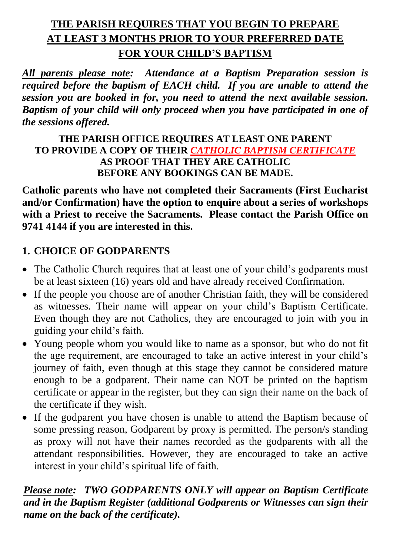# **THE PARISH REQUIRES THAT YOU BEGIN TO PREPARE AT LEAST 3 MONTHS PRIOR TO YOUR PREFERRED DATE FOR YOUR CHILD'S BAPTISM**

*All parents please note: Attendance at a Baptism Preparation session is required before the baptism of EACH child. If you are unable to attend the session you are booked in for, you need to attend the next available session. Baptism of your child will only proceed when you have participated in one of the sessions offered.*

#### **THE PARISH OFFICE REQUIRES AT LEAST ONE PARENT TO PROVIDE A COPY OF THEIR** *CATHOLIC BAPTISM CERTIFICATE* **AS PROOF THAT THEY ARE CATHOLIC BEFORE ANY BOOKINGS CAN BE MADE.**

**Catholic parents who have not completed their Sacraments (First Eucharist and/or Confirmation) have the option to enquire about a series of workshops with a Priest to receive the Sacraments. Please contact the Parish Office on 9741 4144 if you are interested in this.**

### **1. CHOICE OF GODPARENTS**

- The Catholic Church requires that at least one of your child's godparents must be at least sixteen (16) years old and have already received Confirmation.
- If the people you choose are of another Christian faith, they will be considered as witnesses. Their name will appear on your child's Baptism Certificate. Even though they are not Catholics, they are encouraged to join with you in guiding your child's faith.
- Young people whom you would like to name as a sponsor, but who do not fit the age requirement, are encouraged to take an active interest in your child's journey of faith, even though at this stage they cannot be considered mature enough to be a godparent. Their name can NOT be printed on the baptism certificate or appear in the register, but they can sign their name on the back of the certificate if they wish.
- If the godparent you have chosen is unable to attend the Baptism because of some pressing reason, Godparent by proxy is permitted. The person/s standing as proxy will not have their names recorded as the godparents with all the attendant responsibilities. However, they are encouraged to take an active interest in your child's spiritual life of faith.

### *Please note: TWO GODPARENTS ONLY will appear on Baptism Certificate and in the Baptism Register (additional Godparents or Witnesses can sign their name on the back of the certificate).*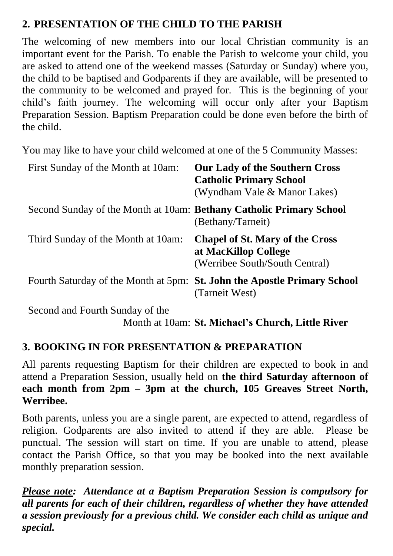## **2. PRESENTATION OF THE CHILD TO THE PARISH**

The welcoming of new members into our local Christian community is an important event for the Parish. To enable the Parish to welcome your child, you are asked to attend one of the weekend masses (Saturday or Sunday) where you, the child to be baptised and Godparents if they are available, will be presented to the community to be welcomed and prayed for. This is the beginning of your child's faith journey. The welcoming will occur only after your Baptism Preparation Session. Baptism Preparation could be done even before the birth of the child.

You may like to have your child welcomed at one of the 5 Community Masses:

| First Sunday of the Month at 10am:                                  | <b>Our Lady of the Southern Cross</b><br><b>Catholic Primary School</b><br>(Wyndham Vale & Manor Lakes) |
|---------------------------------------------------------------------|---------------------------------------------------------------------------------------------------------|
| Second Sunday of the Month at 10am: Bethany Catholic Primary School | (Bethany/Tarneit)                                                                                       |
| Third Sunday of the Month at 10am:                                  | <b>Chapel of St. Mary of the Cross</b><br>at MacKillop College<br>(Werribee South/South Central)        |
|                                                                     | Fourth Saturday of the Month at 5pm: St. John the Apostle Primary School<br>(Tarneit West)              |
| Second and Fourth Sunday of the                                     | Month at 10am: St. Michael's Church, Little River                                                       |

### **3. BOOKING IN FOR PRESENTATION & PREPARATION**

All parents requesting Baptism for their children are expected to book in and attend a Preparation Session, usually held on **the third Saturday afternoon of each month from 2pm – 3pm at the church, 105 Greaves Street North, Werribee.**

Both parents, unless you are a single parent, are expected to attend, regardless of religion. Godparents are also invited to attend if they are able. Please be punctual. The session will start on time. If you are unable to attend, please contact the Parish Office, so that you may be booked into the next available monthly preparation session.

*Please note: Attendance at a Baptism Preparation Session is compulsory for all parents for each of their children, regardless of whether they have attended a session previously for a previous child. We consider each child as unique and special.*